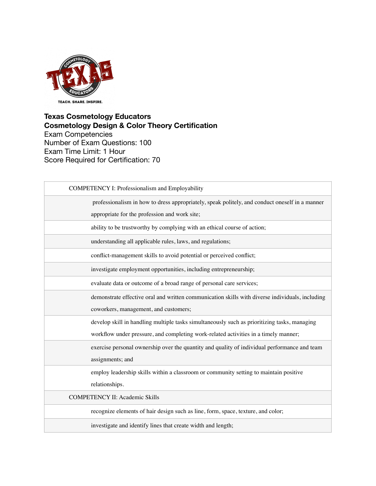

| <b>COMPETENCY I: Professionalism and Employability</b>                                          |
|-------------------------------------------------------------------------------------------------|
| professionalism in how to dress appropriately, speak politely, and conduct oneself in a manner  |
| appropriate for the profession and work site;                                                   |
| ability to be trustworthy by complying with an ethical course of action;                        |
| understanding all applicable rules, laws, and regulations;                                      |
| conflict-management skills to avoid potential or perceived conflict;                            |
| investigate employment opportunities, including entrepreneurship;                               |
| evaluate data or outcome of a broad range of personal care services;                            |
| demonstrate effective oral and written communication skills with diverse individuals, including |
| coworkers, management, and customers;                                                           |
| develop skill in handling multiple tasks simultaneously such as prioritizing tasks, managing    |
| workflow under pressure, and completing work-related activities in a timely manner;             |
| exercise personal ownership over the quantity and quality of individual performance and team    |
| assignments; and                                                                                |
| employ leadership skills within a classroom or community setting to maintain positive           |
| relationships.                                                                                  |
| <b>COMPETENCY II: Academic Skills</b>                                                           |
| recognize elements of hair design such as line, form, space, texture, and color;                |
| investigate and identify lines that create width and length;                                    |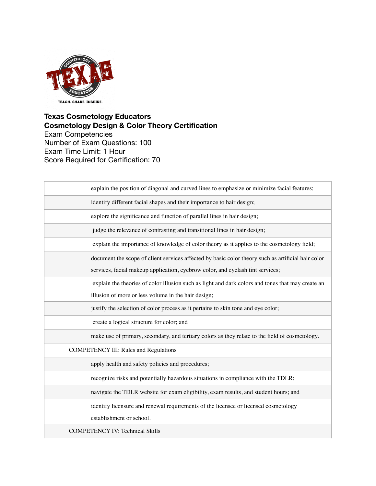

| explain the position of diagonal and curved lines to emphasize or minimize facial features;        |
|----------------------------------------------------------------------------------------------------|
| identify different facial shapes and their importance to hair design;                              |
| explore the significance and function of parallel lines in hair design;                            |
| judge the relevance of contrasting and transitional lines in hair design;                          |
| explain the importance of knowledge of color theory as it applies to the cosmetology field;        |
| document the scope of client services affected by basic color theory such as artificial hair color |
| services, facial makeup application, eyebrow color, and eyelash tint services;                     |
| explain the theories of color illusion such as light and dark colors and tones that may create an  |
| illusion of more or less volume in the hair design;                                                |
| justify the selection of color process as it pertains to skin tone and eye color;                  |
| create a logical structure for color; and                                                          |
| make use of primary, secondary, and tertiary colors as they relate to the field of cosmetology.    |
| <b>COMPETENCY III: Rules and Regulations</b>                                                       |
| apply health and safety policies and procedures;                                                   |
| recognize risks and potentially hazardous situations in compliance with the TDLR;                  |
| navigate the TDLR website for exam eligibility, exam results, and student hours; and               |
| identify licensure and renewal requirements of the licensee or licensed cosmetology                |
| establishment or school.                                                                           |
| <b>COMPETENCY IV: Technical Skills</b>                                                             |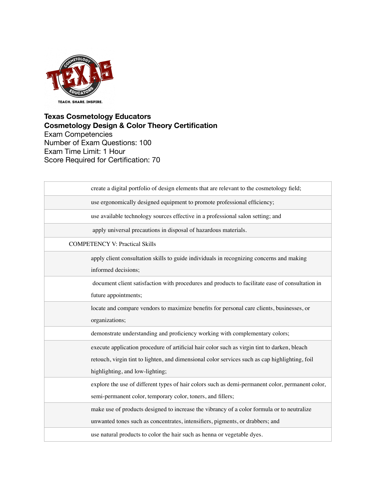

| create a digital portfolio of design elements that are relevant to the cosmetology field;        |
|--------------------------------------------------------------------------------------------------|
| use ergonomically designed equipment to promote professional efficiency;                         |
| use available technology sources effective in a professional salon setting; and                  |
| apply universal precautions in disposal of hazardous materials.                                  |
| <b>COMPETENCY V: Practical Skills</b>                                                            |
| apply client consultation skills to guide individuals in recognizing concerns and making         |
| informed decisions;                                                                              |
| document client satisfaction with procedures and products to facilitate ease of consultation in  |
| future appointments;                                                                             |
| locate and compare vendors to maximize benefits for personal care clients, businesses, or        |
| organizations;                                                                                   |
| demonstrate understanding and proficiency working with complementary colors;                     |
| execute application procedure of artificial hair color such as virgin tint to darken, bleach     |
| retouch, virgin tint to lighten, and dimensional color services such as cap highlighting, foil   |
| highlighting, and low-lighting;                                                                  |
| explore the use of different types of hair colors such as demi-permanent color, permanent color, |
| semi-permanent color, temporary color, toners, and fillers;                                      |
| make use of products designed to increase the vibrancy of a color formula or to neutralize       |
| unwanted tones such as concentrates, intensifiers, pigments, or drabbers; and                    |
| use natural products to color the hair such as henna or vegetable dyes.                          |